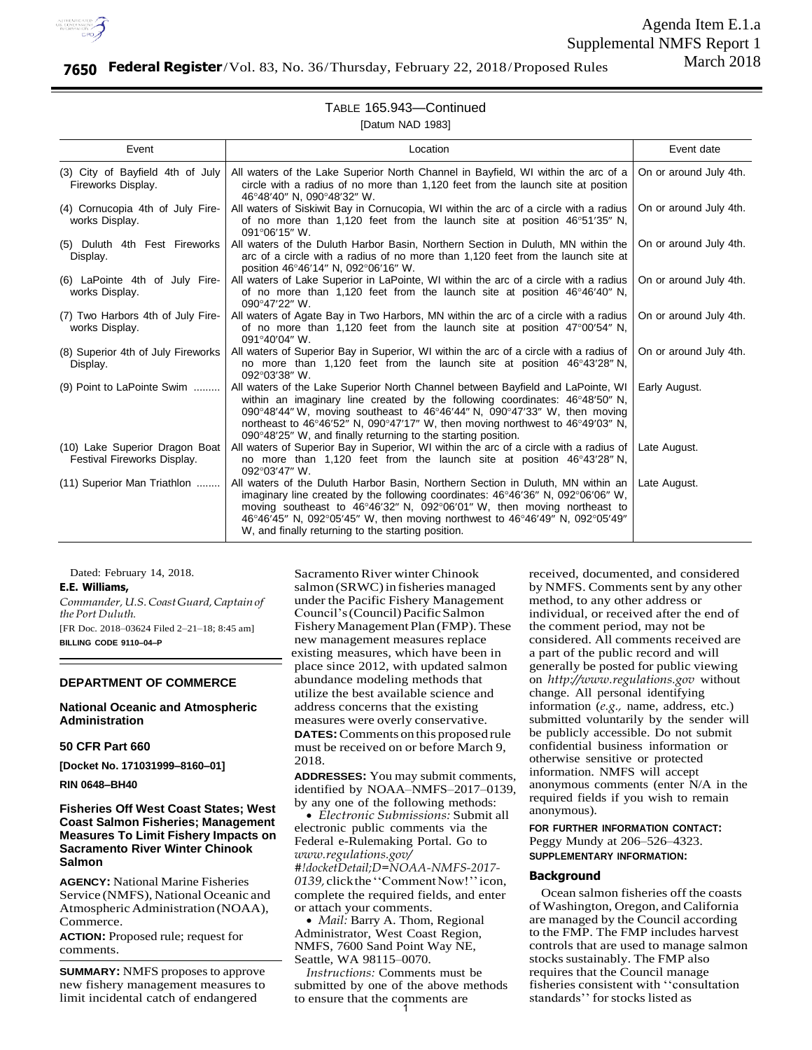

Agenda Item E.1.a Supplemental NMFS Report 1 March 2018

# **7650 Federal Register**/Vol. 83, No. 36/Thursday, February 22, 2018/Proposed Rules

# TABLE 165.943—Continued

[Datum NAD 1983]

| Event                                                         | Location                                                                                                                                                                                                                                                                                                                                                                                               | Event date             |
|---------------------------------------------------------------|--------------------------------------------------------------------------------------------------------------------------------------------------------------------------------------------------------------------------------------------------------------------------------------------------------------------------------------------------------------------------------------------------------|------------------------|
| (3) City of Bayfield 4th of July<br>Fireworks Display.        | All waters of the Lake Superior North Channel in Bayfield, WI within the arc of a<br>circle with a radius of no more than 1,120 feet from the launch site at position<br>46°48'40" N. 090°48'32" W.                                                                                                                                                                                                    | On or around July 4th. |
| (4) Cornucopia 4th of July Fire-<br>works Display.            | All waters of Siskiwit Bay in Cornucopia, WI within the arc of a circle with a radius<br>of no more than 1,120 feet from the launch site at position 46°51′35″ N,<br>091°06'15" W.                                                                                                                                                                                                                     | On or around July 4th. |
| (5) Duluth 4th Fest Fireworks<br>Display.                     | All waters of the Duluth Harbor Basin, Northern Section in Duluth, MN within the<br>arc of a circle with a radius of no more than 1,120 feet from the launch site at<br>position 46°46'14" N, 092°06'16" W.                                                                                                                                                                                            | On or around July 4th. |
| (6) LaPointe 4th of July Fire-<br>works Display.              | All waters of Lake Superior in LaPointe, WI within the arc of a circle with a radius<br>of no more than 1,120 feet from the launch site at position $46^{\circ}46'40''$ N,<br>090°47'22" W.                                                                                                                                                                                                            | On or around July 4th. |
| (7) Two Harbors 4th of July Fire-<br>works Display.           | All waters of Agate Bay in Two Harbors, MN within the arc of a circle with a radius<br>of no more than 1,120 feet from the launch site at position $47^{\circ}00'54''$ N,<br>091°40'04" W.                                                                                                                                                                                                             | On or around July 4th. |
| (8) Superior 4th of July Fireworks<br>Display.                | All waters of Superior Bay in Superior, WI within the arc of a circle with a radius of<br>no more than 1,120 feet from the launch site at position 46°43′28″ N,<br>092°03'38" W.                                                                                                                                                                                                                       | On or around July 4th. |
| (9) Point to LaPointe Swim                                    | All waters of the Lake Superior North Channel between Bayfield and LaPointe, WI<br>within an imaginary line created by the following coordinates: 46°48′50" N,<br>090°48'44" W, moving southeast to 46°46'44" N, 090°47'33" W, then moving<br>northeast to 46°46'52" N, 090°47'17" W, then moving northwest to 46°49'03" N,<br>090°48'25" W, and finally returning to the starting position.           | Early August.          |
| (10) Lake Superior Dragon Boat<br>Festival Fireworks Display. | All waters of Superior Bay in Superior, WI within the arc of a circle with a radius of<br>no more than 1,120 feet from the launch site at position 46°43′28″ N,<br>$092^{\circ}03'47''$ W.                                                                                                                                                                                                             | Late August.           |
| (11) Superior Man Triathlon                                   | All waters of the Duluth Harbor Basin, Northern Section in Duluth, MN within an<br>imaginary line created by the following coordinates: $46^{\circ}46'36''$ N, $092^{\circ}06'06''$ W,<br>moving southeast to 46°46'32" N, 092°06'01" W, then moving northeast to<br>46°46'45" N, 092°05'45" W, then moving northwest to 46°46'49" N, 092°05'49"<br>W, and finally returning to the starting position. | Late August.           |

Dated: February 14, 2018.

**E.E. Williams,**

*Commander, U.S. Coast Guard, Captain of the Port Duluth.* [FR Doc. 2018–03624 Filed 2–21–18; 8:45 am] **BILLING CODE 9110–04–P**

## **DEPARTMENT OF COMMERCE**

**National Oceanic and Atmospheric Administration**

# **50 CFR Part 660**

**[Docket No. 171031999–8160–01]** 

**RIN 0648–BH40**

# **Fisheries Off West Coast States; West Coast Salmon Fisheries; Management Measures To Limit Fishery Impacts on Sacramento River Winter Chinook Salmon**

**AGENCY:** National Marine Fisheries Service (NMFS), National Oceanic and Atmospheric Administration (NOAA), Commerce.

**ACTION:** Proposed rule; request for comments.

**SUMMARY:** NMFS proposes to approve new fishery management measures to limit incidental catch of endangered

Sacramento River winter Chinook salmon (SRWC) in fisheries managed under the Pacific Fishery Management Council's (Council) Pacific Salmon Fishery Management Plan (FMP). These new management measures replace existing measures, which have been in place since 2012, with updated salmon abundance modeling methods that utilize the best available science and address concerns that the existing measures were overly conservative. **DATES:** Comments on this proposed rule must be received on or before March 9, 2018.

**ADDRESSES:** You may submit comments, identified by NOAA–NMFS–2017–0139, by any one of the following methods:

 *Electronic Submissions:* Submit all electronic public comments via the Federal e-Rulemaking Portal. Go to *[www.regulations.gov/](http://www.regulations.gov/#!docketDetail%3BD%3DNOAA-NMFS-2017-0139) [#!docketDetail;D=NOAA-NMFS-2017-](http://www.regulations.gov/#!docketDetail%3BD%3DNOAA-NMFS-2017-0139) [0139,](http://www.regulations.gov/#!docketDetail%3BD%3DNOAA-NMFS-2017-0139)*click the ''CommentNow!'' icon, complete the required fields, and enter or attach your comments.

• *Mail: Barry A. Thom, Regional* Administrator, West Coast Region, NMFS, 7600 Sand Point Way NE, Seattle, WA 98115–0070.

*Instructions:* Comments must be submitted by one of the above methods to ensure that the comments are 1

received, documented, and considered by NMFS. Comments sent by any other method, to any other address or individual, or received after the end of the comment period, may not be considered. All comments received are a part of the public record and will generally be posted for public viewing on *[http://www.regulations.gov](http://www.regulations.gov/)* without change. All personal identifying information (*e.g.,* name, address, etc.) submitted voluntarily by the sender will be publicly accessible. Do not submit confidential business information or otherwise sensitive or protected information. NMFS will accept anonymous comments (enter N/A in the required fields if you wish to remain anonymous).

## **FOR FURTHER INFORMATION CONTACT:** Peggy Mundy at 206–526–4323. **SUPPLEMENTARY INFORMATION:**

#### **Background**

Ocean salmon fisheries off the coasts of Washington, Oregon, and California are managed by the Council according to the FMP. The FMP includes harvest controls that are used to manage salmon stocks sustainably. The FMP also requires that the Council manage fisheries consistent with ''consultation standards'' for stocks listed as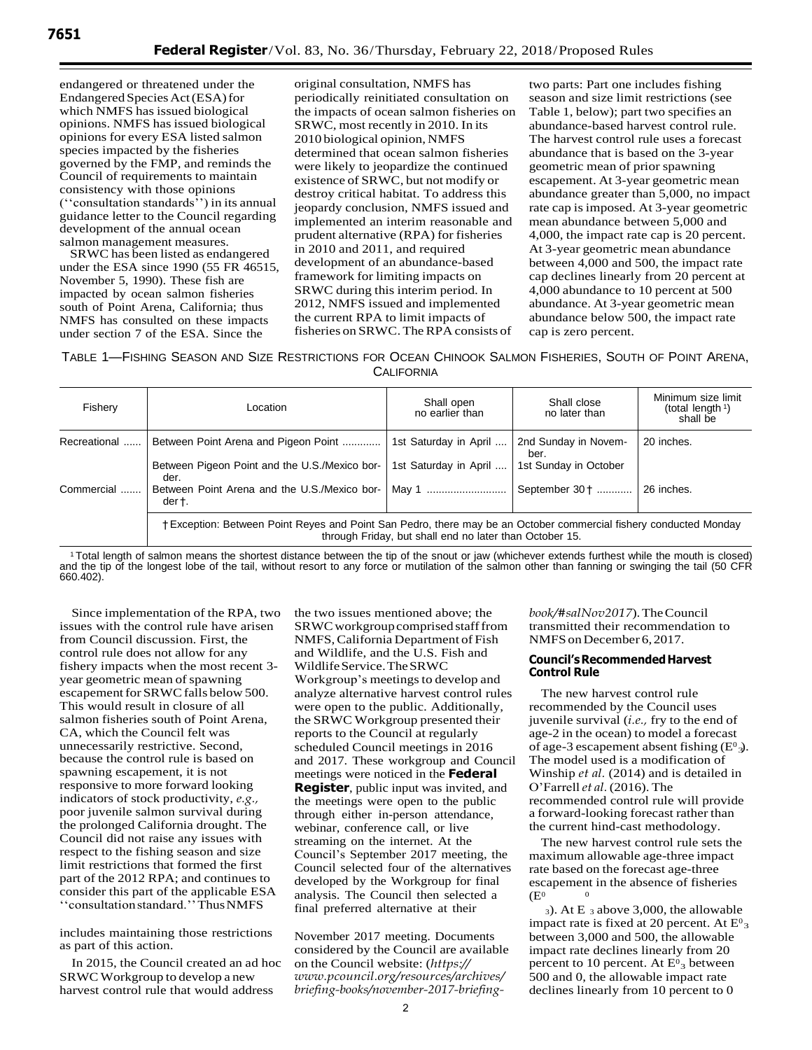endangered or threatened under the Endangered Species Act (ESA) for which NMFS has issued biological opinions. NMFS has issued biological opinions for every ESA listed salmon species impacted by the fisheries governed by the FMP, and reminds the Council of requirements to maintain consistency with those opinions (''consultation standards'') in its annual guidance letter to the Council regarding development of the annual ocean salmon management measures.

SRWC has been listed as endangered under the ESA since 1990 (55 FR 46515, November 5, 1990). These fish are impacted by ocean salmon fisheries south of Point Arena, California; thus NMFS has consulted on these impacts under section 7 of the ESA. Since the

original consultation, NMFS has periodically reinitiated consultation on the impacts of ocean salmon fisheries on SRWC, most recently in 2010. In its 2010 biological opinion, NMFS determined that ocean salmon fisheries were likely to jeopardize the continued existence of SRWC, but not modify or destroy critical habitat. To address this jeopardy conclusion, NMFS issued and implemented an interim reasonable and prudent alternative (RPA) for fisheries in 2010 and 2011, and required development of an abundance-based framework for limiting impacts on SRWC during this interim period. In 2012, NMFS issued and implemented the current RPA to limit impacts of fisheries on SRWC. The RPA consists of

two parts: Part one includes fishing season and size limit restrictions (see Table 1, below); part two specifies an abundance-based harvest control rule. The harvest control rule uses a forecast abundance that is based on the 3-year geometric mean of prior spawning escapement. At 3-year geometric mean abundance greater than 5,000, no impact rate cap is imposed. At 3-year geometric mean abundance between 5,000 and 4,000, the impact rate cap is 20 percent. At 3-year geometric mean abundance between 4,000 and 500, the impact rate cap declines linearly from 20 percent at 4,000 abundance to 10 percent at 500 abundance. At 3-year geometric mean abundance below 500, the impact rate cap is zero percent.

TABLE 1—FISHING SEASON AND SIZE RESTRICTIONS FOR OCEAN CHINOOK SALMON FISHERIES, SOUTH OF POINT ARENA, **CALIFORNIA** 

| Fishery      | Location                                                                                                                                                                    | Shall open<br>no earlier than | Shall close<br>no later than | Minimum size limit<br>(total length $\frac{1}{2}$ )<br>shall be |  |
|--------------|-----------------------------------------------------------------------------------------------------------------------------------------------------------------------------|-------------------------------|------------------------------|-----------------------------------------------------------------|--|
| Recreational | Between Point Arena and Pigeon Point                                                                                                                                        | 1st Saturday in April         | 2nd Sunday in Novem-<br>ber. | 20 inches.                                                      |  |
|              | Between Pigeon Point and the U.S./Mexico bor-<br>der.                                                                                                                       | 1st Saturday in April         | 1st Sunday in October        |                                                                 |  |
| Commercial   | Between Point Arena and the U.S./Mexico bor-<br>dert.                                                                                                                       | May 1                         | September 30 +               | 26 inches.                                                      |  |
|              | †Exception: Between Point Reyes and Point San Pedro, there may be an October commercial fishery conducted Monday<br>through Friday, but shall end no later than October 15. |                               |                              |                                                                 |  |

<sup>1</sup>Total length of salmon means the shortest distance between the tip of the snout or jaw (whichever extends furthest while the mouth is closed) and the tip of the longest lobe of the tail, without resort to any force or mutilation of the salmon other than fanning or swinging the tail (50 CFR 660.402).

Since implementation of the RPA, two issues with the control rule have arisen from Council discussion. First, the control rule does not allow for any fishery impacts when the most recent 3 year geometric mean of spawning escapement for SRWC falls below 500. This would result in closure of all salmon fisheries south of Point Arena, CA, which the Council felt was unnecessarily restrictive. Second, because the control rule is based on spawning escapement, it is not responsive to more forward looking indicators of stock productivity, *e.g.,* poor juvenile salmon survival during the prolonged California drought. The Council did not raise any issues with respect to the fishing season and size limit restrictions that formed the first part of the 2012 RPA; and continues to consider this part of the applicable ESA ''consultationstandard.'' Thus NMFS

includes maintaining those restrictions as part of this action.

SRWC Workgroup to develop a new harvest control rule that would address the two issues mentioned above; the SRWC workgroup comprised staff from NMFS, California Department of Fish and Wildlife, and the U.S. Fish and Wildlife Service. The SRWC Workgroup's meetings to develop and analyze alternative harvest control rules were open to the public. Additionally, the SRWC Workgroup presented their reports to the Council at regularly scheduled Council meetings in 2016 and 2017. These workgroup and Council meetings were noticed in the **Federal Register**, public input was invited, and the meetings were open to the public through either in-person attendance, webinar, conference call, or live streaming on the internet. At the Council's September 2017 meeting, the Council selected four of the alternatives developed by the Workgroup for final analysis. The Council then selected a final preferred alternative at their

In 2015, the Council created an ad hoc on the Council website:  $\frac{h}{t}$  percent to 10 percent. At  $E^0$ <sub>3</sub> between November 2017 meeting. Documents considered by the Council are available *[www.pcouncil.org/resources/archives/](https://www.pcouncil.org/resources/archives/briefing-books/november-2017-briefing-book/#salNov2017)  [briefing-books/november-2017-briefing-](https://www.pcouncil.org/resources/archives/briefing-books/november-2017-briefing-book/#salNov2017)*

*[book/#salNov2017](https://www.pcouncil.org/resources/archives/briefing-books/november-2017-briefing-book/#salNov2017)*). The Council transmitted their recommendation to NMFS on December 6, 2017.

### **Council's Recommended Harvest Control Rule**

of age-3 escapement absent fishing  $(E^0_3)$ . The new harvest control rule recommended by the Council uses juvenile survival (*i.e.,* fry to the end of age-2 in the ocean) to model a forecast The model used is a modification of Winship *et al.* (2014) and is detailed in O'Farrell*et al.* (2016). The recommended control rule will provide a forward-looking forecast rather than the current hind-cast methodology.

The new harvest control rule sets the maximum allowable age-three impact rate based on the forecast age-three escapement in the absence of fisheries  $(E<sup>0</sup>)$ 

impact rate is fixed at 20 percent. At  $E^0$ <sub>3</sub> <sup>3</sup>). At E 3 above 3,000, the allowable between 3,000 and 500, the allowable impact rate declines linearly from 20 500 and 0, the allowable impact rate declines linearly from 10 percent to 0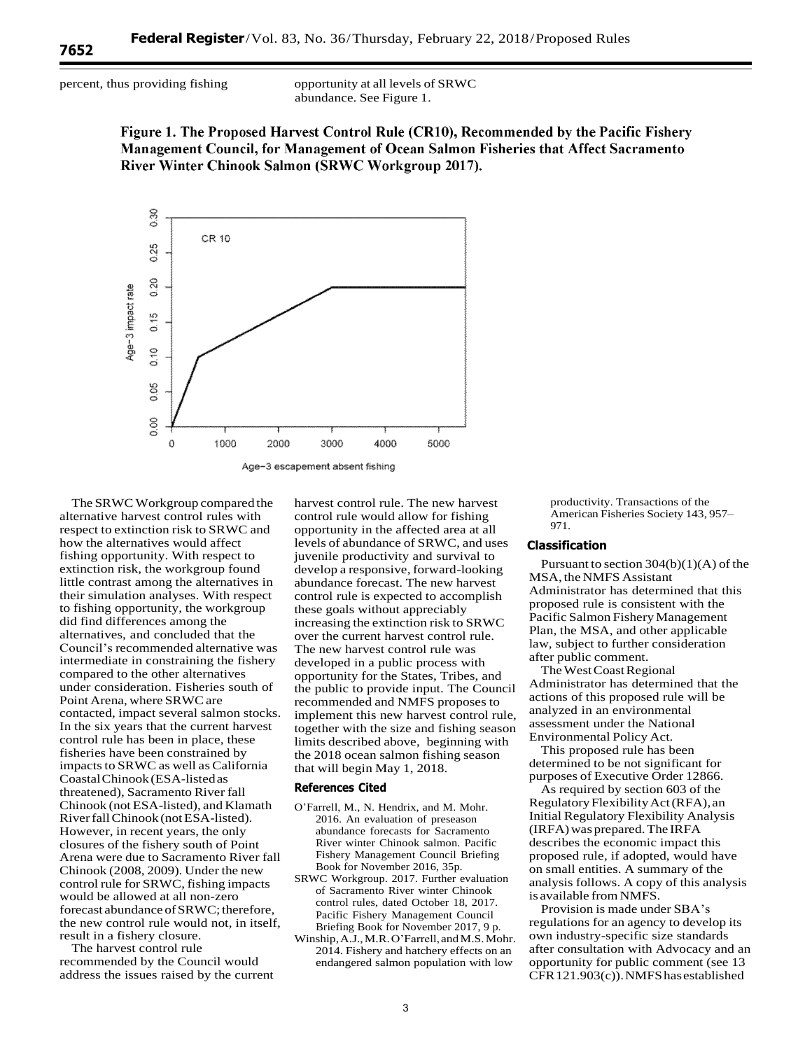percent, thus providing fishing opportunity at all levels of SRWC abundance. See Figure 1.

> Figure 1. The Proposed Harvest Control Rule (CR10), Recommended by the Pacific Fishery Management Council, for Management of Ocean Salmon Fisheries that Affect Sacramento River Winter Chinook Salmon (SRWC Workgroup 2017).



The SRWC Workgroup compared the alternative harvest control rules with respect to extinction risk to SRWC and how the alternatives would affect fishing opportunity. With respect to extinction risk, the workgroup found little contrast among the alternatives in their simulation analyses. With respect to fishing opportunity, the workgroup did find differences among the alternatives, and concluded that the Council's recommended alternative was intermediate in constraining the fishery compared to the other alternatives under consideration. Fisheries south of Point Arena, where SRWC are contacted, impact several salmon stocks. In the six years that the current harvest control rule has been in place, these fisheries have been constrained by impacts to SRWC as well as California Coastal Chinook (ESA-listed as threatened), Sacramento River fall Chinook (not ESA-listed), and Klamath River fall Chinook (not ESA-listed). However, in recent years, the only closures of the fishery south of Point Arena were due to Sacramento River fall Chinook (2008, 2009). Under the new control rule for SRWC, fishing impacts would be allowed at all non-zero forecast abundance of SRWC; therefore, the new control rule would not, in itself, result in a fishery closure.

The harvest control rule recommended by the Council would address the issues raised by the current

harvest control rule. The new harvest control rule would allow for fishing opportunity in the affected area at all levels of abundance of SRWC, and uses juvenile productivity and survival to develop a responsive, forward-looking abundance forecast. The new harvest control rule is expected to accomplish these goals without appreciably increasing the extinction risk to SRWC over the current harvest control rule. The new harvest control rule was developed in a public process with opportunity for the States, Tribes, and the public to provide input. The Council recommended and NMFS proposes to implement this new harvest control rule, together with the size and fishing season limits described above, beginning with the 2018 ocean salmon fishing season that will begin May 1, 2018.

# **References Cited**

- O'Farrell, M., N. Hendrix, and M. Mohr. 2016. An evaluation of preseason abundance forecasts for Sacramento River winter Chinook salmon. Pacific Fishery Management Council Briefing Book for November 2016, 35p.
- SRWC Workgroup. 2017. Further evaluation of Sacramento River winter Chinook control rules, dated October 18, 2017. Pacific Fishery Management Council Briefing Book for November 2017, 9 p.
- Winship, A.J., M.R. O'Farrell, and M.S. Mohr. 2014. Fishery and hatchery effects on an endangered salmon population with low

productivity. Transactions of the American Fisheries Society 143, 957– 971.

#### **Classification**

Pursuant to section  $304(b)(1)(A)$  of the MSA, the NMFS Assistant Administrator has determined that this proposed rule is consistent with the Pacific Salmon Fishery Management Plan, the MSA, and other applicable law, subject to further consideration after public comment.

The West Coast Regional Administrator has determined that the actions of this proposed rule will be analyzed in an environmental assessment under the National Environmental Policy Act.

This proposed rule has been determined to be not significant for purposes of Executive Order 12866.

As required by section 603 of the Regulatory Flexibility Act (RFA), an Initial Regulatory Flexibility Analysis (IRFA) was prepared. The IRFA describes the economic impact this proposed rule, if adopted, would have on small entities. A summary of the analysis follows. A copy of this analysis is available from NMFS.

Provision is made under SBA's regulations for an agency to develop its own industry-specific size standards after consultation with Advocacy and an opportunity for public comment (see 13 CFR 121.903(c)). NMFS has established